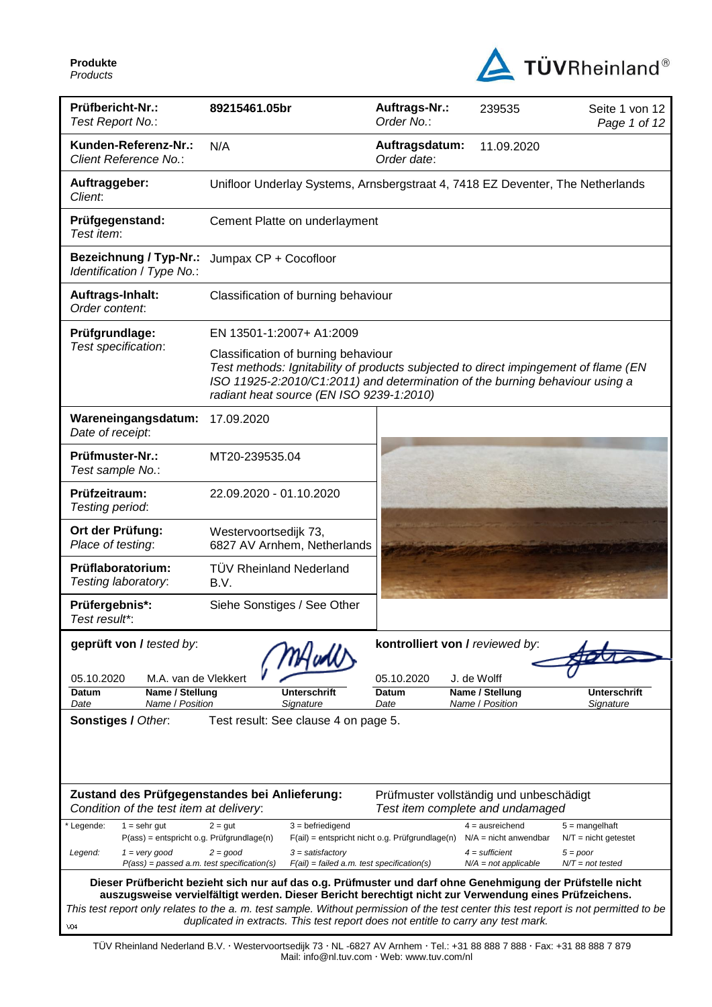

| Prüfbericht-Nr.:<br>Test Report No.:                                                      | 89215461.05br                                                                                                                                                                                                                                          | Auftrags-Nr.:<br>Order No.:                                                 | 239535                                            | Seite 1 von 12<br>Page 1 of 12             |
|-------------------------------------------------------------------------------------------|--------------------------------------------------------------------------------------------------------------------------------------------------------------------------------------------------------------------------------------------------------|-----------------------------------------------------------------------------|---------------------------------------------------|--------------------------------------------|
| Kunden-Referenz-Nr.:<br>Client Reference No.:                                             | N/A                                                                                                                                                                                                                                                    | Auftragsdatum:<br>Order date:                                               | 11.09.2020                                        |                                            |
| Auftraggeber:<br>Client:                                                                  | Unifloor Underlay Systems, Arnsbergstraat 4, 7418 EZ Deventer, The Netherlands                                                                                                                                                                         |                                                                             |                                                   |                                            |
| Prüfgegenstand:<br>Test item:                                                             | Cement Platte on underlayment                                                                                                                                                                                                                          |                                                                             |                                                   |                                            |
| <b>Bezeichnung / Typ-Nr.:</b><br>Identification / Type No.:                               | Jumpax CP + Cocofloor                                                                                                                                                                                                                                  |                                                                             |                                                   |                                            |
| Auftrags-Inhalt:<br>Order content:                                                        | Classification of burning behaviour                                                                                                                                                                                                                    |                                                                             |                                                   |                                            |
| Prüfgrundlage:                                                                            | EN 13501-1:2007+ A1:2009                                                                                                                                                                                                                               |                                                                             |                                                   |                                            |
| Test specification:                                                                       | Classification of burning behaviour<br>Test methods: Ignitability of products subjected to direct impingement of flame (EN<br>ISO 11925-2:2010/C1:2011) and determination of the burning behaviour using a<br>radiant heat source (EN ISO 9239-1:2010) |                                                                             |                                                   |                                            |
| Wareneingangsdatum:<br>Date of receipt:                                                   | 17.09.2020                                                                                                                                                                                                                                             |                                                                             |                                                   |                                            |
| Prüfmuster-Nr.:<br>Test sample No.:                                                       | MT20-239535.04                                                                                                                                                                                                                                         |                                                                             |                                                   |                                            |
| Prüfzeitraum:<br>Testing period:                                                          | 22.09.2020 - 01.10.2020                                                                                                                                                                                                                                |                                                                             |                                                   |                                            |
| Ort der Prüfung:<br>Place of testing:                                                     | Westervoortsedijk 73,<br>6827 AV Arnhem, Netherlands                                                                                                                                                                                                   |                                                                             |                                                   |                                            |
| Prüflaboratorium:<br>Testing laboratory:                                                  | <b>TÜV Rheinland Nederland</b><br>B.V.                                                                                                                                                                                                                 |                                                                             |                                                   |                                            |
| Prüfergebnis*:<br>Test result*:                                                           | Siehe Sonstiges / See Other                                                                                                                                                                                                                            |                                                                             |                                                   |                                            |
| geprüft von / tested by:                                                                  |                                                                                                                                                                                                                                                        | kontrolliert von / reviewed by:                                             |                                                   |                                            |
| 05.10.2020<br>M.A. van de Vlekkert<br>Name / Stellung<br>Datum<br>Name / Position<br>Date | Unterschrift<br>Signature                                                                                                                                                                                                                              | 05.10.2020<br>Datum<br>Date                                                 | J. de Wolff<br>Name / Stellung<br>Name / Position | <b>Unterschrift</b><br>Signature           |
| Sonstiges / Other.                                                                        | Test result: See clause 4 on page 5.                                                                                                                                                                                                                   |                                                                             |                                                   |                                            |
|                                                                                           |                                                                                                                                                                                                                                                        |                                                                             |                                                   |                                            |
| Condition of the test item at delivery:                                                   | Zustand des Prüfgegenstandes bei Anlieferung:                                                                                                                                                                                                          | Prüfmuster vollständig und unbeschädigt<br>Test item complete and undamaged |                                                   |                                            |
| Legende:<br>$1 =$ sehr gut<br>P(ass) = entspricht o.g. Prüfgrundlage(n)                   | $3 = \text{before}$<br>$2 = gut$                                                                                                                                                                                                                       | $F(ai)$ = entspricht nicht o.g. Prüfgrundlage(n)                            | $4 =$ ausreichend<br>$N/A$ = nicht anwendbar      | $5 =$ mangelhaft<br>$N/T =$ nicht getestet |
| $1 = \text{very good}$<br>Legend:<br>$P(ass) = passed a.m. test specification(s)$         | $2 = good$<br>$3 =$ satisfactory<br>$F(ai) = failed a.m. test specification(s)$                                                                                                                                                                        |                                                                             | $4 =$ sufficient<br>$N/A = not applicable$        | $5 = poor$<br>$N/T = not tested$           |
|                                                                                           | Dieser Prüfbericht bezieht sich nur auf das o.g. Prüfmuster und darf ohne Genehmigung der Prüfstelle nicht                                                                                                                                             |                                                                             |                                                   |                                            |
|                                                                                           | auszugsweise vervielfältigt werden. Dieser Bericht berechtigt nicht zur Verwendung eines Prüfzeichens.<br>This test report only relates to the a. m. test sample. Without permission of the test center this test report is not permitted to be        |                                                                             |                                                   |                                            |
| V <sub>04</sub>                                                                           | duplicated in extracts. This test report does not entitle to carry any test mark.                                                                                                                                                                      |                                                                             |                                                   |                                            |

TÜV Rheinland Nederland B.V. Westervoortsedijk 73 NL -6827 AV Arnhem Tel.: +31 88 888 7 888 Fax: +31 88 888 7 879 Mail: info@nl.tuv.com · Web: www.tuv.com/nl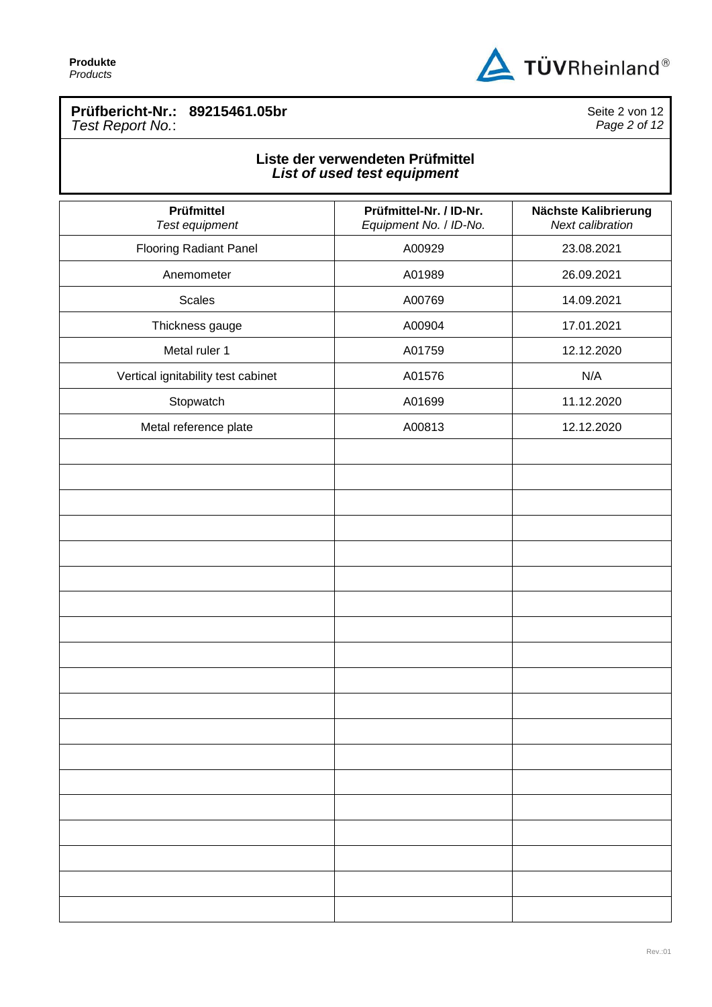

## **Prüfbericht-Nr.: 89215461.05br** *Test Report No.*:

Seite 2 von 12 *Page 2 of 12*

## **Liste der verwendeten Prüfmittel** *List of used test equipment*

| Prüfmittel<br>Test equipment       | Prüfmittel-Nr. / ID-Nr.<br>Equipment No. / ID-No. | Nächste Kalibrierung<br>Next calibration |
|------------------------------------|---------------------------------------------------|------------------------------------------|
| <b>Flooring Radiant Panel</b>      | A00929                                            | 23.08.2021                               |
| Anemometer                         | A01989                                            | 26.09.2021                               |
| <b>Scales</b>                      | A00769                                            | 14.09.2021                               |
| Thickness gauge                    | A00904                                            | 17.01.2021                               |
| Metal ruler 1                      | A01759                                            | 12.12.2020                               |
| Vertical ignitability test cabinet | A01576                                            | N/A                                      |
| Stopwatch                          | A01699                                            | 11.12.2020                               |
| Metal reference plate              | A00813                                            | 12.12.2020                               |
|                                    |                                                   |                                          |
|                                    |                                                   |                                          |
|                                    |                                                   |                                          |
|                                    |                                                   |                                          |
|                                    |                                                   |                                          |
|                                    |                                                   |                                          |
|                                    |                                                   |                                          |
|                                    |                                                   |                                          |
|                                    |                                                   |                                          |
|                                    |                                                   |                                          |
|                                    |                                                   |                                          |
|                                    |                                                   |                                          |
|                                    |                                                   |                                          |
|                                    |                                                   |                                          |
|                                    |                                                   |                                          |
|                                    |                                                   |                                          |
|                                    |                                                   |                                          |
|                                    |                                                   |                                          |
|                                    |                                                   |                                          |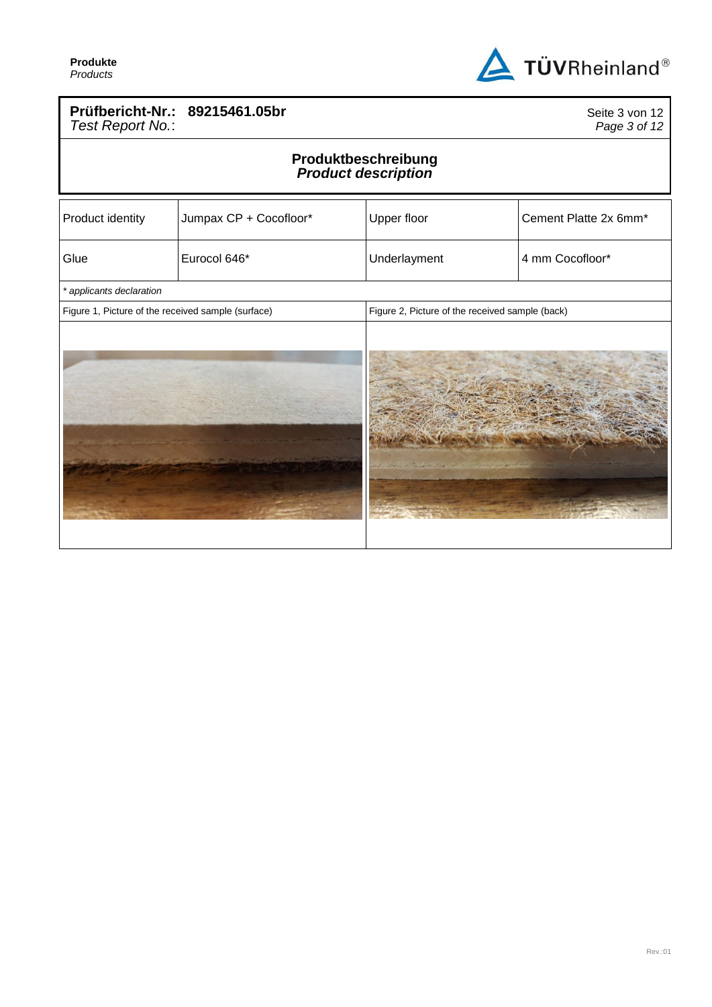

### **Prüfbericht-Nr.: 89215461.05br** *Test Report No.*:

Seite 3 von 12 *Page 3 of 12*

### **Produktbeschreibung** *Product description*

| Product identity                                   | Jumpax CP + Cocofloor* | Upper floor                                     | Cement Platte 2x 6mm* |
|----------------------------------------------------|------------------------|-------------------------------------------------|-----------------------|
| Glue                                               | Eurocol 646*           | Underlayment                                    | 4 mm Cocofloor*       |
| * applicants declaration                           |                        |                                                 |                       |
| Figure 1, Picture of the received sample (surface) |                        | Figure 2, Picture of the received sample (back) |                       |
|                                                    |                        |                                                 |                       |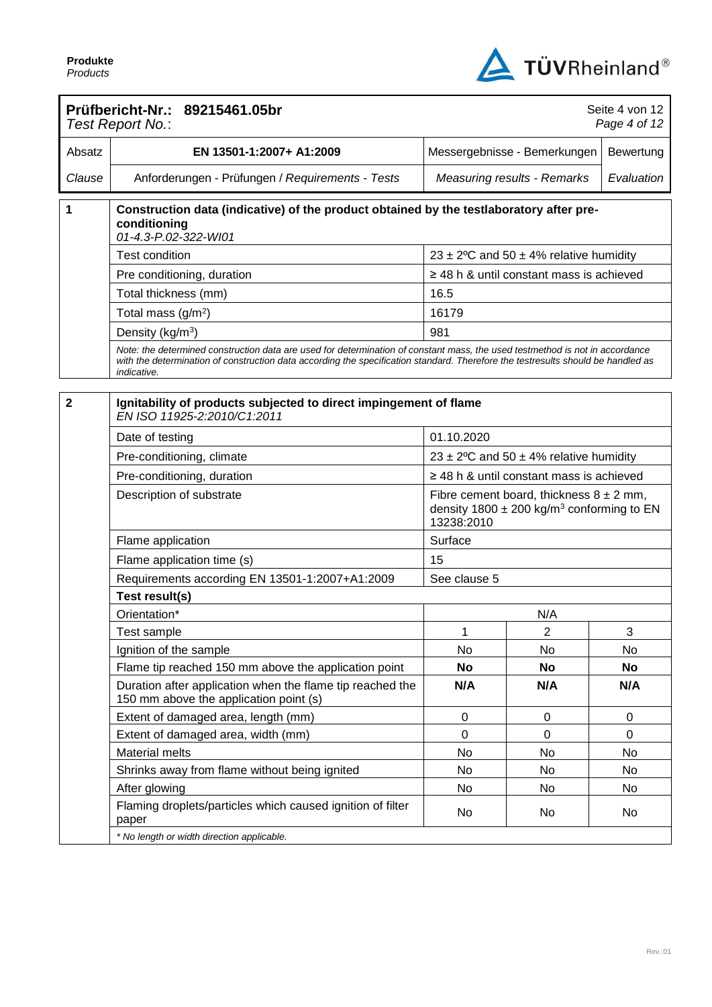

|                | Prüfbericht-Nr.: 89215461.05br<br>Test Report No.:                                                                                                                                                                                                                              |                                                                                                                        |                                               | Seite 4 von 12<br>Page 4 of 12 |
|----------------|---------------------------------------------------------------------------------------------------------------------------------------------------------------------------------------------------------------------------------------------------------------------------------|------------------------------------------------------------------------------------------------------------------------|-----------------------------------------------|--------------------------------|
| Absatz         | EN 13501-1:2007+ A1:2009                                                                                                                                                                                                                                                        |                                                                                                                        | Messergebnisse - Bemerkungen                  | Bewertung                      |
| Clause         | Anforderungen - Prüfungen / Requirements - Tests                                                                                                                                                                                                                                |                                                                                                                        | <b>Measuring results - Remarks</b>            | Evaluation                     |
| 1              | Construction data (indicative) of the product obtained by the testlaboratory after pre-<br>conditioning<br>01-4.3-P.02-322-WI01                                                                                                                                                 |                                                                                                                        |                                               |                                |
|                | <b>Test condition</b>                                                                                                                                                                                                                                                           |                                                                                                                        | 23 ± 2°C and 50 ± 4% relative humidity        |                                |
|                | Pre conditioning, duration                                                                                                                                                                                                                                                      |                                                                                                                        | $\geq$ 48 h & until constant mass is achieved |                                |
|                | Total thickness (mm)                                                                                                                                                                                                                                                            | 16.5                                                                                                                   |                                               |                                |
|                | Total mass $(g/m2)$                                                                                                                                                                                                                                                             | 16179                                                                                                                  |                                               |                                |
|                | Density (kg/m <sup>3</sup> )                                                                                                                                                                                                                                                    | 981                                                                                                                    |                                               |                                |
|                | Note: the determined construction data are used for determination of constant mass, the used testmethod is not in accordance<br>with the determination of construction data according the specification standard. Therefore the testresults should be handled as<br>indicative. |                                                                                                                        |                                               |                                |
| $\overline{2}$ | Ignitability of products subjected to direct impingement of flame<br>EN ISO 11925-2:2010/C1:2011                                                                                                                                                                                |                                                                                                                        |                                               |                                |
|                | Date of testing                                                                                                                                                                                                                                                                 | 01.10.2020                                                                                                             |                                               |                                |
|                | Pre-conditioning, climate                                                                                                                                                                                                                                                       |                                                                                                                        | 23 ± 2°C and 50 ± 4% relative humidity        |                                |
|                | Pre-conditioning, duration                                                                                                                                                                                                                                                      |                                                                                                                        | $\geq$ 48 h & until constant mass is achieved |                                |
|                | Description of substrate                                                                                                                                                                                                                                                        | Fibre cement board, thickness $8 \pm 2$ mm,<br>density 1800 $\pm$ 200 kg/m <sup>3</sup> conforming to EN<br>13238:2010 |                                               |                                |
|                | Flame application                                                                                                                                                                                                                                                               | Surface                                                                                                                |                                               |                                |
|                | Flame application time (s)                                                                                                                                                                                                                                                      | 15                                                                                                                     |                                               |                                |
|                | Requirements according EN 13501-1:2007+A1:2009                                                                                                                                                                                                                                  | See clause 5                                                                                                           |                                               |                                |
|                | Test result(s)                                                                                                                                                                                                                                                                  |                                                                                                                        |                                               |                                |
|                | Orientation*                                                                                                                                                                                                                                                                    |                                                                                                                        | N/A                                           |                                |
|                | Test sample                                                                                                                                                                                                                                                                     | 1                                                                                                                      | $\overline{c}$                                | 3                              |
|                | Ignition of the sample                                                                                                                                                                                                                                                          | No.                                                                                                                    | No                                            | No                             |
|                | Flame tip reached 150 mm above the application point                                                                                                                                                                                                                            | No                                                                                                                     | <b>No</b>                                     | <b>No</b>                      |
|                | Duration after application when the flame tip reached the<br>150 mm above the application point (s)                                                                                                                                                                             | N/A                                                                                                                    | N/A                                           | N/A                            |
|                | Extent of damaged area, length (mm)                                                                                                                                                                                                                                             | 0                                                                                                                      | $\boldsymbol{0}$                              | $\mathbf 0$                    |
|                | Extent of damaged area, width (mm)                                                                                                                                                                                                                                              | 0                                                                                                                      | $\mathbf 0$                                   | $\Omega$                       |
|                | <b>Material melts</b>                                                                                                                                                                                                                                                           | No                                                                                                                     | No                                            | No                             |
|                | Shrinks away from flame without being ignited                                                                                                                                                                                                                                   | No                                                                                                                     | No                                            | No                             |
|                | After glowing                                                                                                                                                                                                                                                                   | No                                                                                                                     | No                                            | No                             |
|                | Flaming droplets/particles which caused ignition of filter<br>paper                                                                                                                                                                                                             | No                                                                                                                     | No                                            | No                             |
|                | * No length or width direction applicable.                                                                                                                                                                                                                                      |                                                                                                                        |                                               |                                |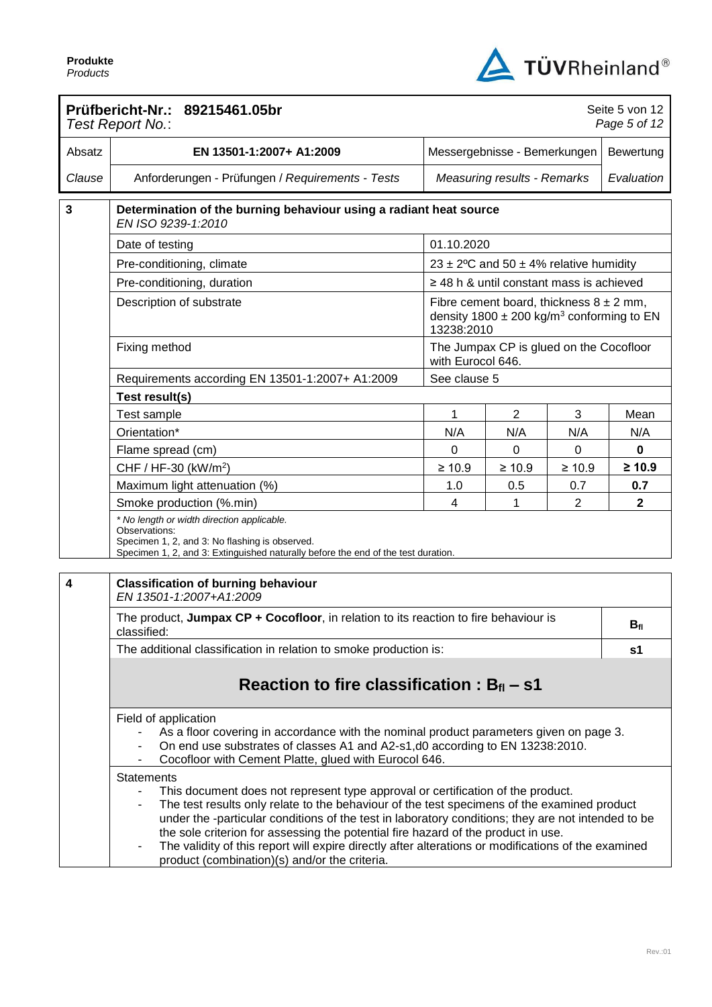

|        | Prüfbericht-Nr.: 89215461.05br<br>Test Report No.:                                                                                                                                                                                                                                                                                                                                                                                                                                                                                                                                                   |                   |                                                                                                          |                | Seite 5 von 12<br>Page 5 of 12 |  |
|--------|------------------------------------------------------------------------------------------------------------------------------------------------------------------------------------------------------------------------------------------------------------------------------------------------------------------------------------------------------------------------------------------------------------------------------------------------------------------------------------------------------------------------------------------------------------------------------------------------------|-------------------|----------------------------------------------------------------------------------------------------------|----------------|--------------------------------|--|
| Absatz | EN 13501-1:2007+ A1:2009                                                                                                                                                                                                                                                                                                                                                                                                                                                                                                                                                                             |                   | Messergebnisse - Bemerkungen                                                                             |                |                                |  |
| Clause | Anforderungen - Prüfungen / Requirements - Tests                                                                                                                                                                                                                                                                                                                                                                                                                                                                                                                                                     |                   | <b>Measuring results - Remarks</b>                                                                       |                | Evaluation                     |  |
| 3      | Determination of the burning behaviour using a radiant heat source<br>EN ISO 9239-1:2010                                                                                                                                                                                                                                                                                                                                                                                                                                                                                                             |                   |                                                                                                          |                |                                |  |
|        | Date of testing                                                                                                                                                                                                                                                                                                                                                                                                                                                                                                                                                                                      | 01.10.2020        |                                                                                                          |                |                                |  |
|        | Pre-conditioning, climate                                                                                                                                                                                                                                                                                                                                                                                                                                                                                                                                                                            |                   | 23 $\pm$ 2°C and 50 $\pm$ 4% relative humidity                                                           |                |                                |  |
|        | Pre-conditioning, duration                                                                                                                                                                                                                                                                                                                                                                                                                                                                                                                                                                           |                   | $\geq$ 48 h & until constant mass is achieved                                                            |                |                                |  |
|        | Description of substrate                                                                                                                                                                                                                                                                                                                                                                                                                                                                                                                                                                             | 13238:2010        | Fibre cement board, thickness $8 \pm 2$ mm,<br>density 1800 $\pm$ 200 kg/m <sup>3</sup> conforming to EN |                |                                |  |
|        | Fixing method                                                                                                                                                                                                                                                                                                                                                                                                                                                                                                                                                                                        | with Eurocol 646. | The Jumpax CP is glued on the Cocofloor                                                                  |                |                                |  |
|        | Requirements according EN 13501-1:2007+ A1:2009                                                                                                                                                                                                                                                                                                                                                                                                                                                                                                                                                      | See clause 5      |                                                                                                          |                |                                |  |
|        | Test result(s)                                                                                                                                                                                                                                                                                                                                                                                                                                                                                                                                                                                       |                   |                                                                                                          |                |                                |  |
|        | <b>Test sample</b>                                                                                                                                                                                                                                                                                                                                                                                                                                                                                                                                                                                   | 1                 | $\overline{c}$                                                                                           | 3              | Mean                           |  |
|        | Orientation*                                                                                                                                                                                                                                                                                                                                                                                                                                                                                                                                                                                         | N/A               | N/A                                                                                                      | N/A            | N/A                            |  |
|        | Flame spread (cm)                                                                                                                                                                                                                                                                                                                                                                                                                                                                                                                                                                                    | 0                 | $\Omega$                                                                                                 | $\Omega$       | 0                              |  |
|        | CHF / HF-30 (kW/m <sup>2</sup> )                                                                                                                                                                                                                                                                                                                                                                                                                                                                                                                                                                     | $\geq 10.9$       | $\geq 10.9$                                                                                              | $\geq 10.9$    | $\geq 10.9$                    |  |
|        | Maximum light attenuation (%)                                                                                                                                                                                                                                                                                                                                                                                                                                                                                                                                                                        | 1.0               | 0.5                                                                                                      | 0.7            | 0.7                            |  |
|        | Smoke production (%.min)                                                                                                                                                                                                                                                                                                                                                                                                                                                                                                                                                                             | 4                 | 1                                                                                                        | $\overline{2}$ | $\mathbf{2}$                   |  |
|        | * No length or width direction applicable.<br>Observations:<br>Specimen 1, 2, and 3: No flashing is observed.<br>Specimen 1, 2, and 3: Extinguished naturally before the end of the test duration.                                                                                                                                                                                                                                                                                                                                                                                                   |                   |                                                                                                          |                |                                |  |
| 4      | <b>Classification of burning behaviour</b><br>EN 13501-1:2007+A1:2009                                                                                                                                                                                                                                                                                                                                                                                                                                                                                                                                |                   |                                                                                                          |                |                                |  |
|        | The product, Jumpax CP + Cocofloor, in relation to its reaction to fire behaviour is<br>classified:                                                                                                                                                                                                                                                                                                                                                                                                                                                                                                  |                   |                                                                                                          |                | $B_{fl}$                       |  |
|        | The additional classification in relation to smoke production is:                                                                                                                                                                                                                                                                                                                                                                                                                                                                                                                                    |                   |                                                                                                          |                | s1                             |  |
|        | Reaction to fire classification : $B_{\text{fl}}$ – s1                                                                                                                                                                                                                                                                                                                                                                                                                                                                                                                                               |                   |                                                                                                          |                |                                |  |
|        | Field of application<br>As a floor covering in accordance with the nominal product parameters given on page 3.<br>On end use substrates of classes A1 and A2-s1,d0 according to EN 13238:2010.<br>Cocofloor with Cement Platte, glued with Eurocol 646.                                                                                                                                                                                                                                                                                                                                              |                   |                                                                                                          |                |                                |  |
|        | <b>Statements</b><br>This document does not represent type approval or certification of the product.<br>$\overline{\phantom{a}}$<br>The test results only relate to the behaviour of the test specimens of the examined product<br>$\blacksquare$<br>under the -particular conditions of the test in laboratory conditions; they are not intended to be<br>the sole criterion for assessing the potential fire hazard of the product in use.<br>The validity of this report will expire directly after alterations or modifications of the examined<br>product (combination)(s) and/or the criteria. |                   |                                                                                                          |                |                                |  |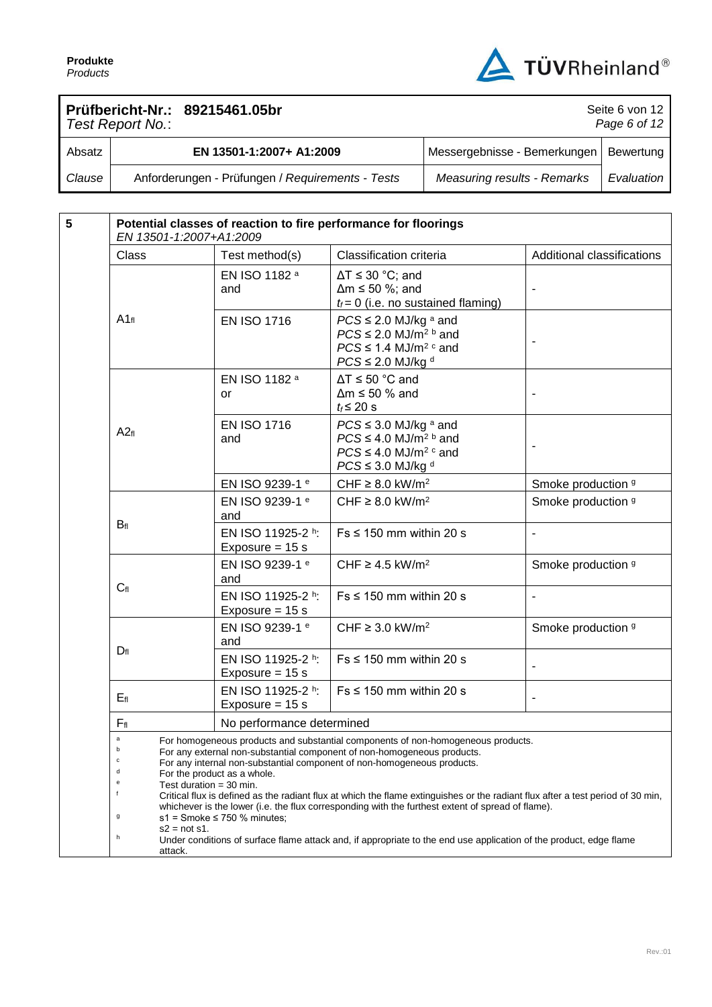

Seite 6 von 12

## **Prüfbericht-Nr.: 89215461.05br**

| Page 6 of 12<br>Test Report No.: |                                                  |                                          |            |  |
|----------------------------------|--------------------------------------------------|------------------------------------------|------------|--|
| Absatz                           | EN 13501-1:2007+ A1:2009                         | Messergebnisse - Bemerkungen   Bewertung |            |  |
| Clause                           | Anforderungen - Prüfungen / Requirements - Tests | <b>Measuring results - Remarks</b>       | Evaluation |  |

| $5\phantom{1}$ | Potential classes of reaction to fire performance for floorings<br>EN 13501-1:2007+A1:2009                                                                                                                                                                                                                                                                                                                                                                                                                                                                                                                             |                                        |                                                                                                                                                       |                              |  |  |
|----------------|------------------------------------------------------------------------------------------------------------------------------------------------------------------------------------------------------------------------------------------------------------------------------------------------------------------------------------------------------------------------------------------------------------------------------------------------------------------------------------------------------------------------------------------------------------------------------------------------------------------------|----------------------------------------|-------------------------------------------------------------------------------------------------------------------------------------------------------|------------------------------|--|--|
|                | Class                                                                                                                                                                                                                                                                                                                                                                                                                                                                                                                                                                                                                  | Test method(s)                         | Classification criteria                                                                                                                               | Additional classifications   |  |  |
|                |                                                                                                                                                                                                                                                                                                                                                                                                                                                                                                                                                                                                                        | EN ISO 1182 a<br>and                   | $\Delta T \leq 30$ °C; and<br>$\Delta m \le 50$ %; and<br>$t_f = 0$ (i.e. no sustained flaming)                                                       |                              |  |  |
|                | $A1_{fl}$                                                                                                                                                                                                                                                                                                                                                                                                                                                                                                                                                                                                              | <b>EN ISO 1716</b>                     | $PCS \leq 2.0$ MJ/kg $a$ and<br>$PCS \leq 2.0$ MJ/m <sup>2 b</sup> and<br>$PCS \leq 1.4$ MJ/m <sup>2 c</sup> and<br>$PCS \leq 2.0$ MJ/kg <sup>d</sup> |                              |  |  |
|                |                                                                                                                                                                                                                                                                                                                                                                                                                                                                                                                                                                                                                        | EN ISO 1182 a<br>or                    | $\Delta T \le 50$ °C and<br>$\Delta m \le 50$ % and<br>$t_f \leq 20$ s                                                                                |                              |  |  |
|                | A2f1                                                                                                                                                                                                                                                                                                                                                                                                                                                                                                                                                                                                                   | <b>EN ISO 1716</b><br>and              | $PCS \leq 3.0$ MJ/kg a and<br>$PCS \leq 4.0$ MJ/m <sup>2 b</sup> and<br>$PCS \leq 4.0$ MJ/m <sup>2 c</sup> and<br>$PCS \leq 3.0$ MJ/kg d              |                              |  |  |
|                |                                                                                                                                                                                                                                                                                                                                                                                                                                                                                                                                                                                                                        | EN ISO 9239-1 e                        | CHF $\geq$ 8.0 kW/m <sup>2</sup>                                                                                                                      | Smoke production 9           |  |  |
|                | $B_{fl}$                                                                                                                                                                                                                                                                                                                                                                                                                                                                                                                                                                                                               | EN ISO 9239-1 e<br>and                 | CHF $\geq$ 8.0 kW/m <sup>2</sup>                                                                                                                      | Smoke production 9           |  |  |
|                |                                                                                                                                                                                                                                                                                                                                                                                                                                                                                                                                                                                                                        | EN ISO 11925-2 h:<br>Exposure = $15 s$ | $Fs \leq 150$ mm within 20 s                                                                                                                          | $\overline{\phantom{a}}$     |  |  |
|                |                                                                                                                                                                                                                                                                                                                                                                                                                                                                                                                                                                                                                        | EN ISO 9239-1 e<br>and                 | CHF $\geq$ 4.5 kW/m <sup>2</sup>                                                                                                                      | Smoke production 9           |  |  |
|                | $C_{fl}$                                                                                                                                                                                                                                                                                                                                                                                                                                                                                                                                                                                                               | EN ISO 11925-2 h:<br>Exposure = $15 s$ | $Fs \leq 150$ mm within 20 s                                                                                                                          | $\overline{\phantom{a}}$     |  |  |
|                |                                                                                                                                                                                                                                                                                                                                                                                                                                                                                                                                                                                                                        | EN ISO 9239-1 e<br>and                 | CHF $\geq$ 3.0 kW/m <sup>2</sup>                                                                                                                      | Smoke production 9           |  |  |
|                | $D_{fl}$                                                                                                                                                                                                                                                                                                                                                                                                                                                                                                                                                                                                               | EN ISO 11925-2 h:<br>Exposure = $15 s$ | $Fs \leq 150$ mm within 20 s                                                                                                                          |                              |  |  |
|                | $E_{fl}$                                                                                                                                                                                                                                                                                                                                                                                                                                                                                                                                                                                                               | EN ISO 11925-2 h:<br>Exposure = $15 s$ | $Fs \leq 150$ mm within 20 s                                                                                                                          | $\qquad \qquad \blacksquare$ |  |  |
|                | $F_{\rm fl}$                                                                                                                                                                                                                                                                                                                                                                                                                                                                                                                                                                                                           | No performance determined              |                                                                                                                                                       |                              |  |  |
|                | $\mathsf a$<br>For homogeneous products and substantial components of non-homogeneous products.<br>For any external non-substantial component of non-homogeneous products.<br>c<br>For any internal non-substantial component of non-homogeneous products.<br>d<br>For the product as a whole.<br>e<br>Test duration = 30 min.<br>f<br>Critical flux is defined as the radiant flux at which the flame extinguishes or the radiant flux after a test period of 30 min,<br>whichever is the lower (i.e. the flux corresponding with the furthest extent of spread of flame).<br>g<br>$s1$ = Smoke $\leq$ 750 % minutes; |                                        |                                                                                                                                                       |                              |  |  |
|                | $s2 = not s1$ .<br>h<br>Under conditions of surface flame attack and, if appropriate to the end use application of the product, edge flame<br>attack.                                                                                                                                                                                                                                                                                                                                                                                                                                                                  |                                        |                                                                                                                                                       |                              |  |  |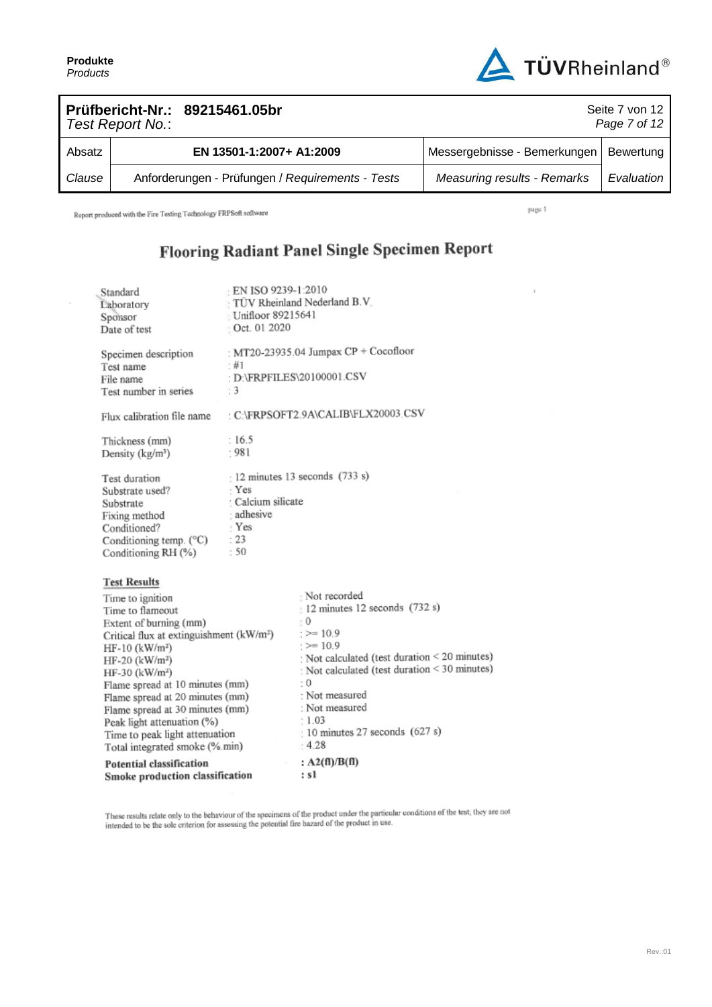

| Prüfbericht-Nr.: 89215461.05br<br>Test Report No.: |  |                                                  |                                    | Seite 7 von 12<br>Page 7 of 12 |
|----------------------------------------------------|--|--------------------------------------------------|------------------------------------|--------------------------------|
| Absatz                                             |  | EN 13501-1:2007+ A1:2009                         | Messergebnisse - Bemerkungen       | Bewertung                      |
| Clause                                             |  | Anforderungen - Prüfungen / Requirements - Tests | <b>Measuring results - Remarks</b> | Evaluation                     |

Report produced with the Fire Testing Technology FRPSoft software

page 1

 $\bar{A}$ 

# Flooring Radiant Panel Single Specimen Report

| Laboratory<br>Sponsor<br>Date of test<br>Specimen description<br>Test name                                                                                                                                                                                                                                                                                                                                                                           | : Unifloor 89215641<br>$\pm$ Oct. 01 2020<br>- #1                 | TUV Rheinland Nederland B.V.<br>: MT20-23935.04 Jumpax $CP + Cocofloor$                                                                                                                                                                                                                                              |
|------------------------------------------------------------------------------------------------------------------------------------------------------------------------------------------------------------------------------------------------------------------------------------------------------------------------------------------------------------------------------------------------------------------------------------------------------|-------------------------------------------------------------------|----------------------------------------------------------------------------------------------------------------------------------------------------------------------------------------------------------------------------------------------------------------------------------------------------------------------|
| File name<br>Test number in series                                                                                                                                                                                                                                                                                                                                                                                                                   | : 3                                                               | : D:\FRPFILES\20100001.CSV                                                                                                                                                                                                                                                                                           |
| Flux calibration file name                                                                                                                                                                                                                                                                                                                                                                                                                           |                                                                   | : C:\FRPSOFT2.9A\CALIB\FLX20003.CSV                                                                                                                                                                                                                                                                                  |
| Thickness (mm)<br>Density (kg/m <sup>3</sup> )                                                                                                                                                                                                                                                                                                                                                                                                       | :16.5<br>: 981                                                    |                                                                                                                                                                                                                                                                                                                      |
| Test duration<br>Substrate used?<br>Substrate<br>Fixing method<br>Conditioned?<br>Conditioning temp. (°C)<br>Conditioning RH (%)                                                                                                                                                                                                                                                                                                                     | · Yes<br>: Calcium silicate<br>- adhesive<br>: Yes<br>: 23<br>:50 | $: 12 \text{ minutes } 13 \text{ seconds } (733 \text{ s})$                                                                                                                                                                                                                                                          |
| <b>Test Results</b><br>Time to ignition<br>Time to flameout<br>Extent of burning (mm)<br>Critical flux at extinguishment (kW/m <sup>2</sup> )<br>HF-10 (kW/m <sup>2</sup> )<br>$HF-20$ (kW/m <sup>2</sup> )<br>HF-30 (kW/m <sup>2</sup> )<br>Flame spread at 10 minutes (mm)<br>Flame spread at 20 minutes (mm)<br>Flame spread at 30 minutes (mm)<br>Peak light attenuation (%)<br>Time to peak light attenuation<br>Total integrated smoke (%.min) |                                                                   | Not recorded<br>12 minutes 12 seconds (732 s)<br>$\pm 0$<br>$:=$ $>=$ 10.9<br>$:= 10.9$<br>: Not calculated (test duration < 20 minutes)<br>: Not calculated (test duration < 30 minutes)<br>: 0<br>: Not measured<br>: Not measured<br>: 1.03<br>$\pm$ 10 minutes 27 seconds (627 s)<br>$-4.28$<br>: $A2(fI)/B(fI)$ |
| <b>Potential classification</b><br>Smoke production classification                                                                                                                                                                                                                                                                                                                                                                                   |                                                                   | : s1                                                                                                                                                                                                                                                                                                                 |

These results relate only to the behaviour of the specimens of the product under the particular conditions of the test; they are not intended to be the sole criterion for assessing the potential fire hazard of the product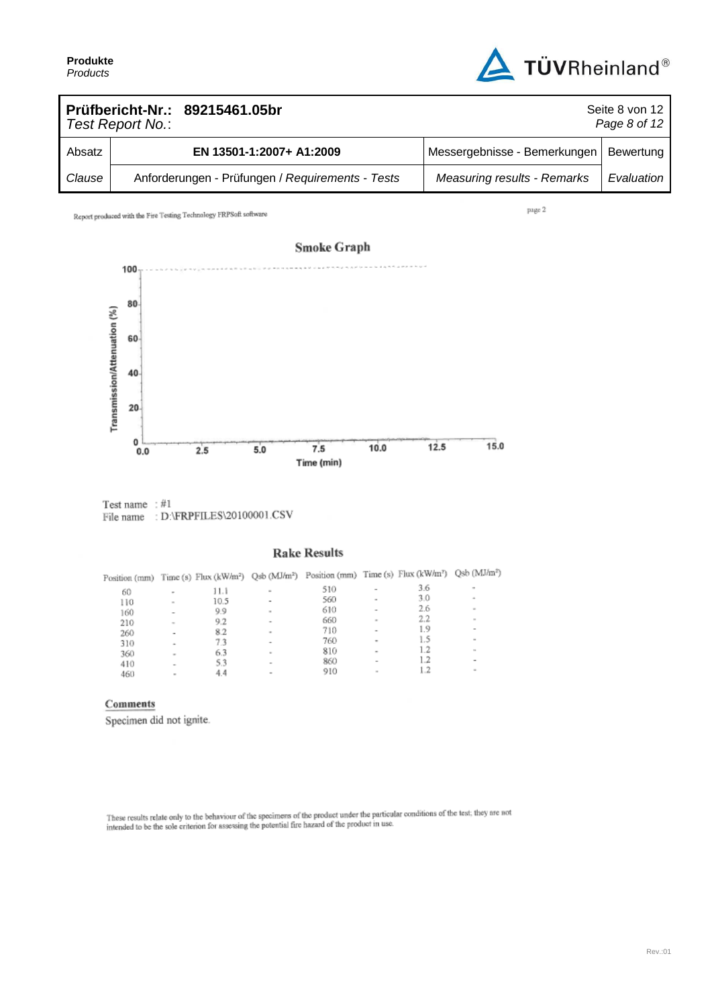

| Prüfbericht-Nr.: 89215461.05br<br>Seite 8 von 12<br>Page 8 of 12<br>Test Report No.: |                                                  |  |                                    |            |
|--------------------------------------------------------------------------------------|--------------------------------------------------|--|------------------------------------|------------|
| Absatz                                                                               | EN 13501-1:2007+ A1:2009                         |  | Messergebnisse - Bemerkungen       | Bewertung  |
| Clause                                                                               | Anforderungen - Prüfungen / Requirements - Tests |  | <b>Measuring results - Remarks</b> | Evaluation |

Report produced with the Fire Testing Technology FRPSoft software

page 2



Test name: #1 File name : D:\FRPFILES\20100001.CSV

### **Rake Results**

| Position (mm) |                          |      |                          | Time (s) Flux (kW/m <sup>2</sup> ) Qsb (MJ/m <sup>2</sup> ) Position (mm) Time (s) Flux (kW/m <sup>2</sup> ) |                          |     | Qsb (MJ/m <sup>2</sup> )                                            |
|---------------|--------------------------|------|--------------------------|--------------------------------------------------------------------------------------------------------------|--------------------------|-----|---------------------------------------------------------------------|
| 60            | $\;$                     | 11.1 | $\sim$                   | 510                                                                                                          | $\overline{\phantom{a}}$ | 3.6 | $\qquad \qquad \blacksquare$                                        |
| 110           | $\overline{\phantom{a}}$ | 10.5 | $\overline{\phantom{a}}$ | 560                                                                                                          | $\sim$                   | 3.0 | $\frac{1}{2} \left( \frac{1}{2} \right) \left( \frac{1}{2} \right)$ |
| 160           | $\overline{\phantom{a}}$ | 9.9  | $\scriptstyle\rm II$     | 610                                                                                                          | $\overline{\phantom{a}}$ | 2.6 | $\sim$                                                              |
| 210           | $\sim$                   | 9.2  | ۰                        | 660                                                                                                          | $\sim$                   | 2.2 | $\sim$                                                              |
| 260           | ۰                        | 82   | $\alpha$                 | 710                                                                                                          | $\overline{\phantom{a}}$ | 1.9 | ۰                                                                   |
| 310           | ۰                        | 73   | ۰                        | 760                                                                                                          | ۰                        | 1.5 | $\overline{\phantom{a}}$                                            |
| 360           | $\sim$                   | 6.3  | $\sim$                   | 810                                                                                                          | $\sim$                   |     | $\sim$                                                              |
| 410           | $\overline{\phantom{a}}$ | 5.3  | $\overline{\phantom{a}}$ | 860                                                                                                          | ۰                        |     | $\overline{\phantom{a}}$                                            |
| 460           | $\sim$                   | 4.4  | $\overline{\phantom{a}}$ | 910                                                                                                          | $\sim$                   |     | $\sim$                                                              |

### Comments

Specimen did not ignite.

These results relate only to the behaviour of the specimens of the product under the particular conditions of the test; they are not intended to be the sole criterion for assessing the potential fire hazard of the product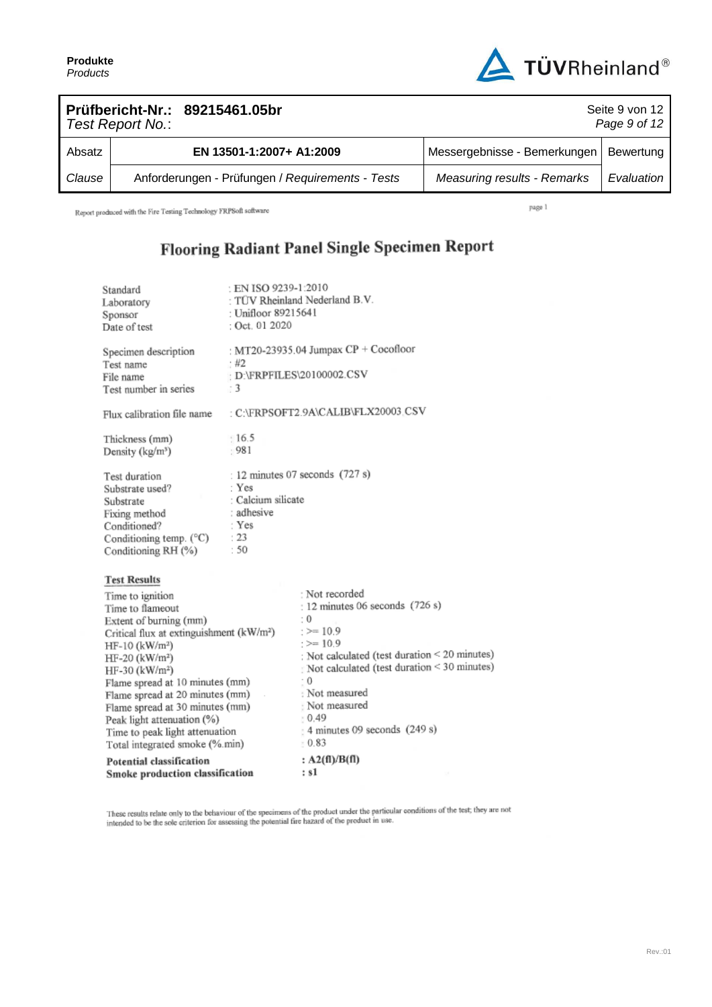

|        | Test Report No.: | Prüfbericht-Nr.: 89215461.05br                   |                                    | Seite 9 von 12<br>Page 9 of 12 |
|--------|------------------|--------------------------------------------------|------------------------------------|--------------------------------|
| Absatz |                  | EN 13501-1:2007+ A1:2009                         | Messergebnisse - Bemerkungen       | Bewertung                      |
| Clause |                  | Anforderungen - Prüfungen / Requirements - Tests | <b>Measuring results - Remarks</b> | Evaluation                     |

Report produced with the Fire Testing Technology FRPSoft software

page 1

## Flooring Radiant Panel Single Specimen Report

|                                                                                                                                                                                                                                                                                                                                                                                                                               | Standard<br>Laboratory<br>Sponsor<br>Date of test                                                                                | : EN ISO 9239-1:2010<br>: Unifloor 89215641<br>$:$ Oct. 01 2020    | : TÜV Rheinland Nederland B.V.                                                                                                                                                                                                                                                                                |  |  |
|-------------------------------------------------------------------------------------------------------------------------------------------------------------------------------------------------------------------------------------------------------------------------------------------------------------------------------------------------------------------------------------------------------------------------------|----------------------------------------------------------------------------------------------------------------------------------|--------------------------------------------------------------------|---------------------------------------------------------------------------------------------------------------------------------------------------------------------------------------------------------------------------------------------------------------------------------------------------------------|--|--|
| Specimen description<br>: #2<br>Test name<br>File name<br>Test number in series<br>- 3                                                                                                                                                                                                                                                                                                                                        |                                                                                                                                  |                                                                    | : MT20-23935.04 Jumpax CP + Cocofloor<br>: D:\FRPFILES\20100002.CSV                                                                                                                                                                                                                                           |  |  |
|                                                                                                                                                                                                                                                                                                                                                                                                                               | Flux calibration file name                                                                                                       |                                                                    | : C:\FRPSOFT2.9A\CALIB\FLX20003.CSV                                                                                                                                                                                                                                                                           |  |  |
|                                                                                                                                                                                                                                                                                                                                                                                                                               | Thickness (mm)<br>Density (kg/m <sup>3</sup> )                                                                                   | : 16.5<br>.981                                                     |                                                                                                                                                                                                                                                                                                               |  |  |
|                                                                                                                                                                                                                                                                                                                                                                                                                               | Test duration<br>Substrate used?<br>Substrate<br>Fixing method<br>Conditioned?<br>Conditioning temp. (°C)<br>Conditioning RH (%) | · Yes<br>: Calcium silicate<br>: adhesive<br>: Yes<br>$-23$<br>:50 | : 12 minutes 07 seconds (727 s)                                                                                                                                                                                                                                                                               |  |  |
|                                                                                                                                                                                                                                                                                                                                                                                                                               | <b>Test Results</b>                                                                                                              |                                                                    |                                                                                                                                                                                                                                                                                                               |  |  |
| Time to ignition<br>Time to flameout<br>Extent of burning (mm)<br>Critical flux at extinguishment (kW/m <sup>2</sup> )<br>HF-10 (kW/m <sup>2</sup> )<br>HF-20 (kW/m <sup>2</sup> )<br>$HF-30$ (kW/m <sup>2</sup> )<br>Flame spread at 10 minutes (mm)<br>Flame spread at 20 minutes (mm)<br>Flame spread at 30 minutes (mm)<br>Peak light attenuation (%)<br>Time to peak light attenuation<br>Total integrated smoke (%.min) |                                                                                                                                  |                                                                    | : Not recorded<br>: 12 minutes 06 seconds (726 s)<br>: 0<br>$:=$ $>=$ 10.9<br>$:=$ 10.9<br>: Not calculated (test duration < 20 minutes)<br>Not calculated (test duration < 30 minutes)<br>$^{\circ}$ 0<br>: Not measured<br>Not measured<br>$+0.49$<br>$\frac{1}{2}$ 4 minutes 09 seconds (249 s)<br>$-0.83$ |  |  |
| <b>Potential classification</b><br>Smoke production classification                                                                                                                                                                                                                                                                                                                                                            |                                                                                                                                  |                                                                    | : $A2(fI)/B(fI)$<br>: s1                                                                                                                                                                                                                                                                                      |  |  |
|                                                                                                                                                                                                                                                                                                                                                                                                                               |                                                                                                                                  |                                                                    |                                                                                                                                                                                                                                                                                                               |  |  |

These results relate only to the behaviour of the specimens of the product under the particular conditions of the test, they are not intended to be the sole criterion for assessing the potential fire bazard of the product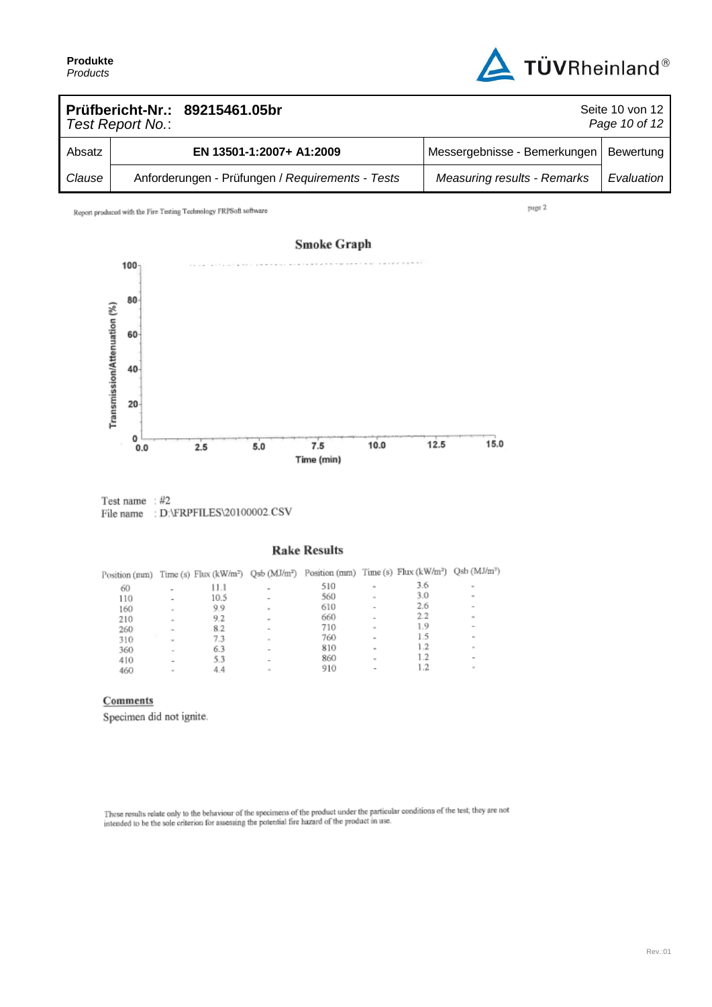

|        | Test Report No.: | Prüfbericht-Nr.: 89215461.05br                   |                                    | Seite 10 von 12<br>Page 10 of 12 |
|--------|------------------|--------------------------------------------------|------------------------------------|----------------------------------|
| Absatz |                  | EN 13501-1:2007+ A1:2009                         | Messergebnisse - Bemerkungen       | Bewertung                        |
| Clause |                  | Anforderungen - Prüfungen / Requirements - Tests | <b>Measuring results - Remarks</b> | Evaluation                       |

Report produced with the Fire Testing Technology FRPSoft software

page 2



Test name:  $#2$ File name : D:\FRPFILES\20100002.CSV

### **Rake Results**

| Position (mm) |                          |      |                          | Time (s) Flux (kW/m <sup>2</sup> ) Qsb (MJ/m <sup>2</sup> ) Position (mm) Time (s) Flux (kW/m <sup>2</sup> ) |                          |     | $Qsh(MMm^2)$             |
|---------------|--------------------------|------|--------------------------|--------------------------------------------------------------------------------------------------------------|--------------------------|-----|--------------------------|
| 60            | $\overline{\phantom{a}}$ | 11.1 | ٠                        | 510                                                                                                          | $\sim$                   | 3.6 | $\sim$                   |
| 110           | ۰                        | 10.5 | $\overline{\phantom{a}}$ | 560                                                                                                          | $\sim$                   | 3.0 | ۰                        |
| 160           | $\overline{\phantom{a}}$ | 9.9  | $\alpha$                 | 610                                                                                                          | ۰                        | 2.6 | $\sim$                   |
| 210           | $\sim$                   | 9.2  | $\sim$                   | 660                                                                                                          | ۰                        | 2.2 | $\sim$                   |
| 260           |                          | 8.2  | $\sim$                   | 710                                                                                                          | $\mathbf{r}$             | 1.9 | $\sim$                   |
| 310           |                          | 7.3  | $\sim$                   | 760                                                                                                          | ۰                        | 1.5 | $\sim$                   |
| 360           | $\sim$                   | 6.3  | $\,$                     | 810                                                                                                          | $\sim$                   | 1.2 | $\equiv$                 |
| 410           | $\sim$                   | 5.3  | $\,$                     | 860                                                                                                          | $\sim$                   | 1.2 | $\overline{\phantom{a}}$ |
| 460           | $\sim$                   | 4.4  | $\sim$                   | 910                                                                                                          | $\overline{\phantom{a}}$ | 1.2 | $\sim$                   |

### Comments

Specimen did not ignite.

These results relate only to the behaviour of the specimens of the product under the particular conditions of the test; they are not intended to be the sole criterion for assessing the potential fire hazard of the product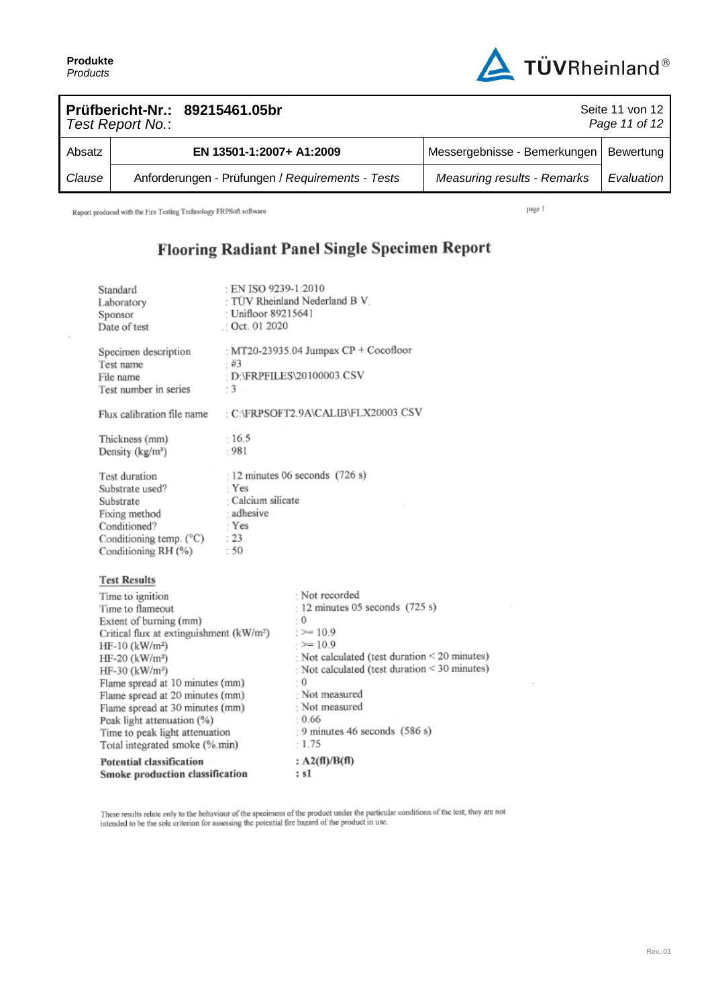$\lambda$ 



|        | Test Report No.: | Prüfbericht-Nr.: 89215461.05br                   |                                    | Seite 11 von 12<br>Page 11 of 12 |
|--------|------------------|--------------------------------------------------|------------------------------------|----------------------------------|
| Absatz |                  | EN 13501-1:2007+ A1:2009                         | Messergebnisse - Bemerkungen       | Bewertung                        |
| Clause |                  | Anforderungen - Prüfungen / Requirements - Tests | <b>Measuring results - Remarks</b> | Evaluation                       |

Report produced with the Fire Testing Technology FRPSoft software

 $_{\mathrm{page}}$  !

## **Flooring Radiant Panel Single Specimen Report**

| Standard<br>Laboratory<br>Sponsor<br>Date of test                                                                                                                                                                                                                                                                                                                                                                               | : EN ISO 9239-1:2010<br>: Unifloor 89215641<br>Coct. 01 2020 | TUV Rheinland Nederland B.V.                                                                                                                                                                                                                                                                           |  |  |
|---------------------------------------------------------------------------------------------------------------------------------------------------------------------------------------------------------------------------------------------------------------------------------------------------------------------------------------------------------------------------------------------------------------------------------|--------------------------------------------------------------|--------------------------------------------------------------------------------------------------------------------------------------------------------------------------------------------------------------------------------------------------------------------------------------------------------|--|--|
| Specimen description<br>Test name<br>File name<br>Test number in series                                                                                                                                                                                                                                                                                                                                                         | - #3<br>$:3$ .                                               | : MT20-23935.04 Jumpax CP + Cocofloor<br>D:\FRPFILES\20100003.CSV                                                                                                                                                                                                                                      |  |  |
| Flux calibration file name                                                                                                                                                                                                                                                                                                                                                                                                      |                                                              | : C:\FRPSOFT2.9A\CALIB\FLX20003.CSV                                                                                                                                                                                                                                                                    |  |  |
| Thickness (mm)<br>Density (kg/m <sup>3</sup> )                                                                                                                                                                                                                                                                                                                                                                                  | $-16.5$<br>: 981                                             |                                                                                                                                                                                                                                                                                                        |  |  |
| Test duration<br>Substrate used?<br>Substrate<br>Fixing method<br>Conditioned?<br>Conditioning temp. (°C)<br>Conditioning RH (%)                                                                                                                                                                                                                                                                                                | Yes<br>Calcium silicate<br>adhesive<br>Yes<br>$-23$<br>$-50$ | $\frac{12 \text{ minutes}}{6 \text{ seconds}}$ (726 s)                                                                                                                                                                                                                                                 |  |  |
| <b>Test Results</b>                                                                                                                                                                                                                                                                                                                                                                                                             |                                                              |                                                                                                                                                                                                                                                                                                        |  |  |
| Time to ignition<br>Time to flameout<br>Extent of burning (mm)<br>Critical flux at extinguishment (kW/m <sup>2</sup> )<br>$HF-10$ (kW/m <sup>2</sup> )<br>$HF-20$ (kW/m <sup>2</sup> )<br>HF-30 (kW/m <sup>2</sup> )<br>Flame spread at 10 minutes (mm)<br>Flame spread at 20 minutes (mm)<br>Flame spread at 30 minutes (mm)<br>Peak light attenuation (%)<br>Time to peak light attenuation<br>Total integrated smoke (%.min) |                                                              | : Not recorded<br>$\pm$ 12 minutes 05 seconds (725 s)<br>$\mathbf{0}$<br>$\ge$ = 10.9<br>$\ge$ = 10.9<br>: Not calculated (test duration < 20 minutes)<br>Not calculated (test duration < 30 minutes)<br>$-0$<br>: Not measured<br>: Not measured<br>: 0.66<br>9 minutes 46 seconds (586 s)<br>$-1.75$ |  |  |
| <b>Potential classification</b><br>Smoke production classification                                                                                                                                                                                                                                                                                                                                                              |                                                              | : $A2(fI)/B(fI)$<br>: s1                                                                                                                                                                                                                                                                               |  |  |

These results relate only to the behaviour of the specimens of the product under the particular conditions of the test, they are not intended to be the sole criterion for assessing the potential fire hazard of the product